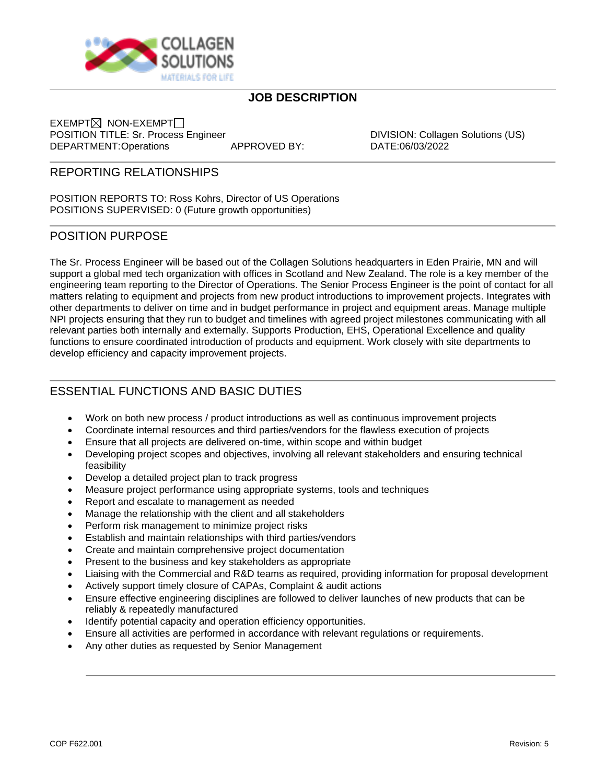

# **JOB DESCRIPTION**

 $EXEMENT \times$  NON-EXEMPT $\square$ POSITION TITLE: Sr. Process Engineer DIVISION: Collagen Solutions (US) DEPARTMENT:Operations APPROVED BY: DATE:06/03/2022

## REPORTING RELATIONSHIPS

POSITION REPORTS TO: Ross Kohrs, Director of US Operations POSITIONS SUPERVISED: 0 (Future growth opportunities)

### POSITION PURPOSE

The Sr. Process Engineer will be based out of the Collagen Solutions headquarters in Eden Prairie, MN and will support a global med tech organization with offices in Scotland and New Zealand. The role is a key member of the engineering team reporting to the Director of Operations. The Senior Process Engineer is the point of contact for all matters relating to equipment and projects from new product introductions to improvement projects. Integrates with other departments to deliver on time and in budget performance in project and equipment areas. Manage multiple NPI projects ensuring that they run to budget and timelines with agreed project milestones communicating with all relevant parties both internally and externally. Supports Production, EHS, Operational Excellence and quality functions to ensure coordinated introduction of products and equipment. Work closely with site departments to develop efficiency and capacity improvement projects.

# ESSENTIAL FUNCTIONS AND BASIC DUTIES

- Work on both new process / product introductions as well as continuous improvement projects
- Coordinate internal resources and third parties/vendors for the flawless execution of projects
- Ensure that all projects are delivered on-time, within scope and within budget
- Developing project scopes and objectives, involving all relevant stakeholders and ensuring technical feasibility
- Develop a detailed project plan to track progress
- Measure project performance using appropriate systems, tools and techniques
- Report and escalate to management as needed
- Manage the relationship with the client and all stakeholders
- Perform risk management to minimize project risks
- Establish and maintain relationships with third parties/vendors
- Create and maintain comprehensive project documentation
- Present to the business and key stakeholders as appropriate
- Liaising with the Commercial and R&D teams as required, providing information for proposal development
- Actively support timely closure of CAPAs, Complaint & audit actions
- Ensure effective engineering disciplines are followed to deliver launches of new products that can be reliably & repeatedly manufactured
- Identify potential capacity and operation efficiency opportunities.
- Ensure all activities are performed in accordance with relevant regulations or requirements.
- Any other duties as requested by Senior Management